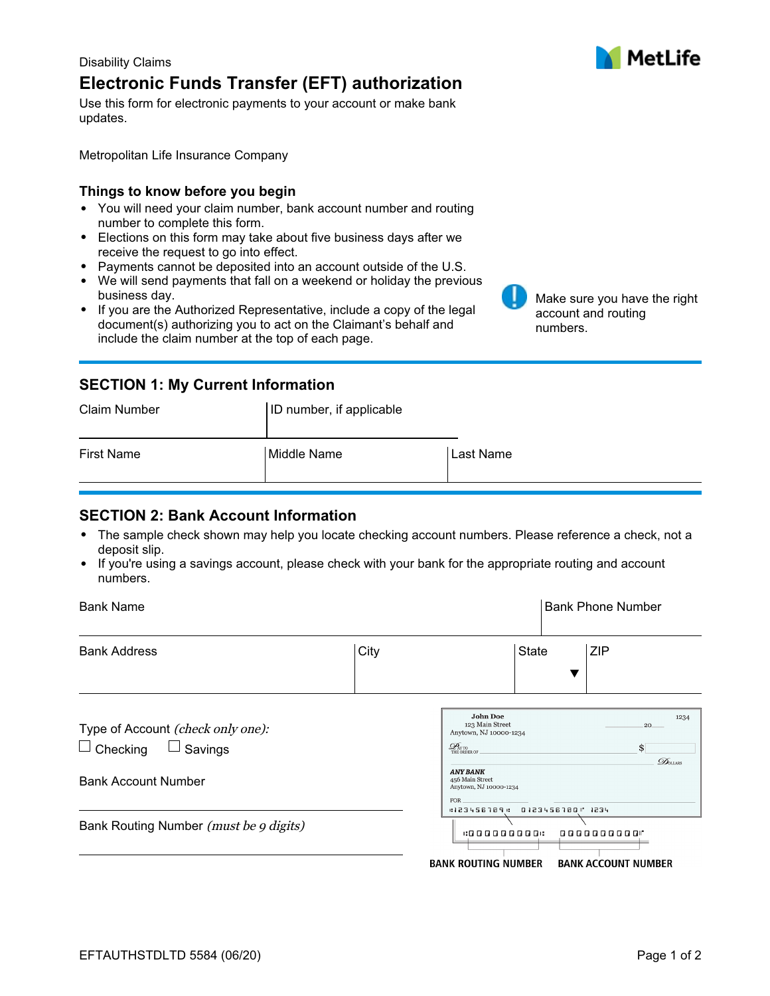## Disability Claims **Electronic Funds Transfer (EFT) authorization**

Use this form for electronic payments to your account or make bank updates.

Metropolitan Life Insurance Company

### **Things to know before you begin**

- You will need your claim number, bank account number and routing number to complete this form.
- Elections on this form may take about five business days after we receive the request to go into effect.
- Payments cannot be deposited into an account outside of the U.S.
- We will send payments that fall on a weekend or holiday the previous business day.
- If you are the Authorized Representative, include a copy of the legal document(s) authorizing you to act on the Claimant's behalf and include the claim number at the top of each page.

# **SECTION 1: My Current Information**

| <b>Claim Number</b> | ID number, if applicable |           |
|---------------------|--------------------------|-----------|
| <b>First Name</b>   | Middle Name              | Last Name |

## **SECTION 2: Bank Account Information**

- The sample check shown may help you locate checking account numbers. Please reference a check, not a deposit slip.
- If you're using a savings account, please check with your bank for the appropriate routing and account numbers.

| <b>Bank Name</b>                                                                              |      |                                                                                                                                                                              |                | <b>Bank Phone Number</b>                          |
|-----------------------------------------------------------------------------------------------|------|------------------------------------------------------------------------------------------------------------------------------------------------------------------------------|----------------|---------------------------------------------------|
| <b>Bank Address</b>                                                                           | City |                                                                                                                                                                              | <b>State</b>   | <b>ZIP</b>                                        |
| Type of Account (check only one):<br>Savings<br>$\Box$ Checking<br><b>Bank Account Number</b> |      | <b>John Doe</b><br>123 Main Street<br>Anytown, NJ 10000-1234<br>$\mathcal{Q}_{\textsc{nto}}$<br>The order of<br><b>ANY BANK</b><br>456 Main Street<br>Anytown, NJ 10000-1234 |                | 1234<br>20<br>\$<br>$\mathcal{D}_{\text{OLIARS}}$ |
| Bank Routing Number (must be 9 digits)                                                        |      | <b>FOR</b><br>:123456789 :<br>.00000000.                                                                                                                                     | 0123456780 234 | 0000000000                                        |
|                                                                                               |      | <b>BANK ROUTING NUMBER</b>                                                                                                                                                   |                | <b>BANK ACCOUNT NUMBER</b>                        |



Make sure you have the right

account and routing

numbers.